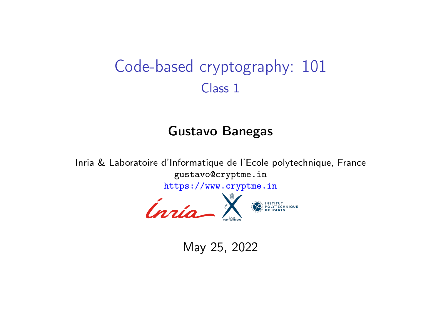# <span id="page-0-0"></span>Code-based cryptography: 101 Class 1

#### Gustavo Banegas

Inria & Laboratoire d'Informatique de l'Ecole polytechnique, France gustavo@cryptme.in



May 25, 2022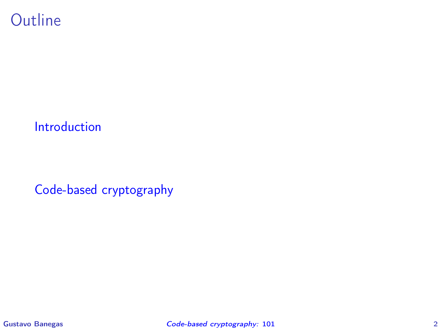## **Outline**

#### [Introduction](#page-2-0)

[Code-based cryptography](#page-9-0)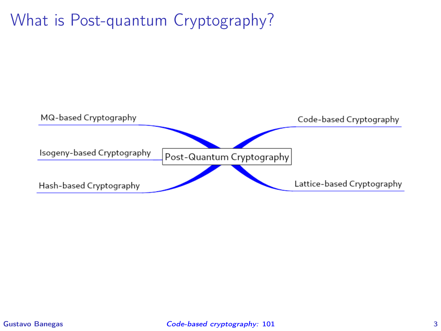# <span id="page-2-0"></span>What is Post-quantum Cryptography?

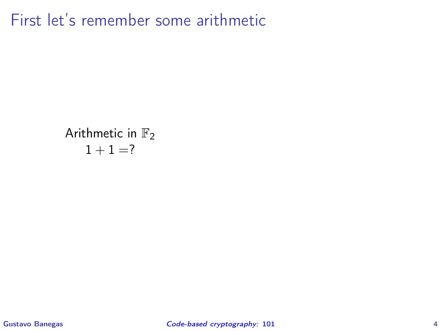Arithmetic in  $\mathbb{F}_2$  $1 + 1 = ?$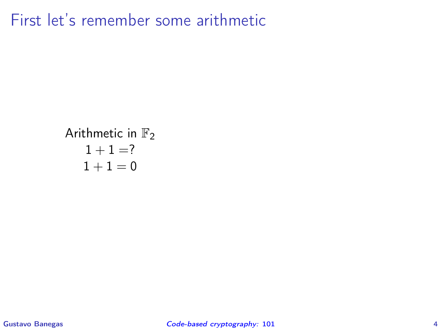Arithmetic in 
$$
\mathbb{F}_2
$$
 $1 + 1 = ?$  $1 + 1 = 0$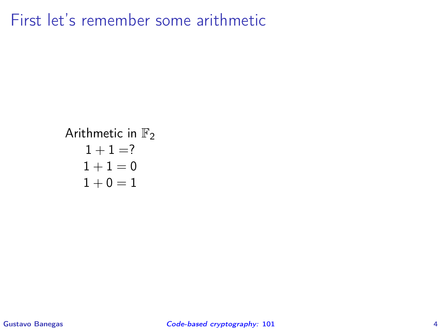Arithmetic in 
$$
\mathbb{F}_2
$$
\n $1 + 1 = ?$ \n $1 + 1 = 0$ \n $1 + 0 = 1$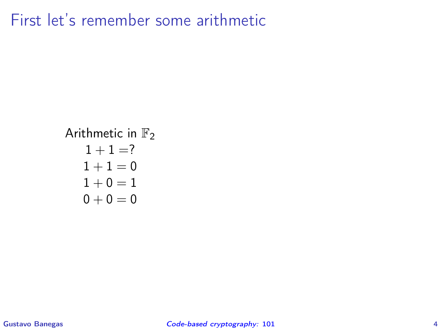## Arithmetic in  $\mathbb{F}_2$  $1 + 1 = ?$  $1 + 1 = 0$  $1 + 0 = 1$  $0 + 0 = 0$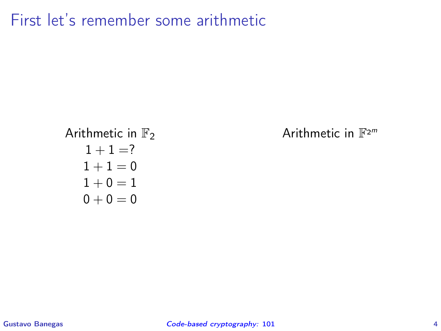Arithmetic in  $\mathbb{F}_2$  $1 + 1 = ?$  $1 + 1 = 0$  $1 + 0 = 1$  $0 + 0 = 0$ 

Arithmetic in  $\mathbb{F}^{2^m}$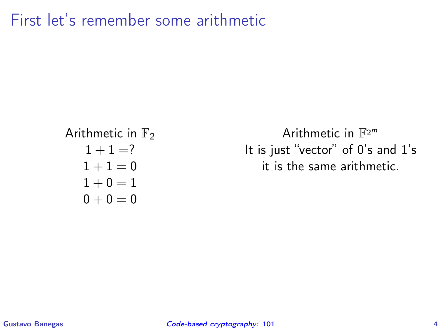Arithmetic in  $\mathbb{F}_2$  $1 + 1 = ?$  $1 + 1 = 0$  $1 + 0 = 1$  $0 + 0 = 0$ 

Arithmetic in  $\mathbb{F}^{2^m}$ It is just "vector" of 0's and 1's it is the same arithmetic.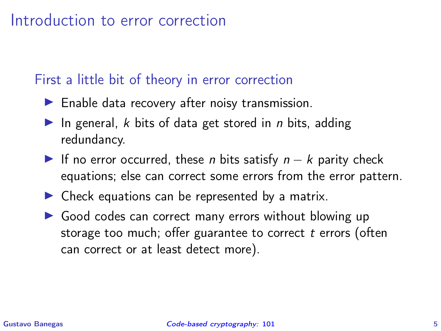### <span id="page-9-0"></span>First a little bit of theory in error correction

- $\blacktriangleright$  Enable data recovery after noisy transmission.
- $\blacktriangleright$  In general, k bits of data get stored in *n* bits, adding redundancy.
- ▶ If no error occurred, these *n* bits satisfy  $n k$  parity check equations; else can correct some errors from the error pattern.
- $\blacktriangleright$  Check equations can be represented by a matrix.
- ▶ Good codes can correct many errors without blowing up storage too much; offer guarantee to correct t errors (often can correct or at least detect more).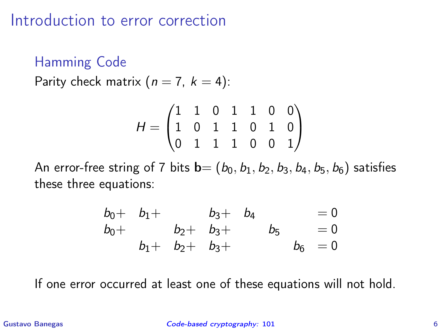Hamming Code

Parity check matrix  $(n = 7, k = 4)$ :

$$
H = \begin{pmatrix} 1 & 1 & 0 & 1 & 1 & 0 & 0 \\ 1 & 0 & 1 & 1 & 0 & 1 & 0 \\ 0 & 1 & 1 & 1 & 0 & 0 & 1 \end{pmatrix}
$$

An error-free string of 7 bits  $\mathbf{b} = (b_0, b_1, b_2, b_3, b_4, b_5, b_6)$  satisfies these three equations:

$$
b0+ b1+ b3+ b4 = 0b0+ b2+ b3+ b5 = 0b1+ b2+ b3+ b6 = 0
$$

If one error occurred at least one of these equations will not hold.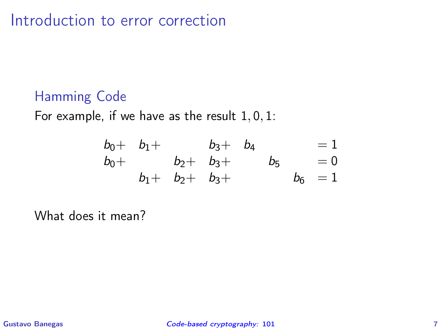## Hamming Code

For example, if we have as the result  $1, 0, 1$ :

$$
b0+ b1+ b3+ b4 = 1b0+ b2+ b3+ b5 = 0b1+ b2+ b3+ b6 = 1
$$

What does it mean?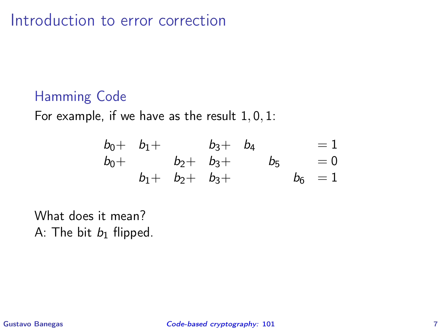## Hamming Code

For example, if we have as the result  $1, 0, 1$ :

$$
b0+ b1+ b3+ b4 = 1b0+ b2+ b3+ b5 = 0b1+ b2+ b3+ b6 = 1
$$

What does it mean? A: The bit  $b_1$  flipped.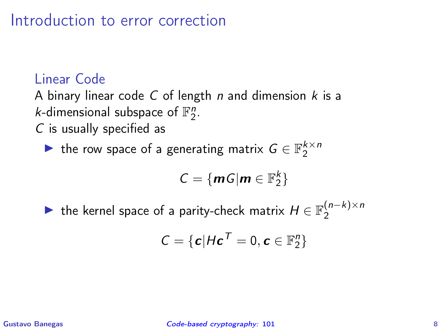## Linear Code

A binary linear code C of length n and dimension  $k$  is a *k*-dimensional subspace of  $\mathbb{F}_2^n$ .

C is usually specified as

▶ the row space of a generating matrix  $G \in \mathbb{F}_2^{k \times n}$ 

$$
C = \{ \mathbf{m} \mathbf{G} | \mathbf{m} \in \mathbb{F}_2^k \}
$$

▶ the kernel space of a parity-check matrix  $H \in \mathbb{F}_2^{(n-k)\times n}$ 2

$$
\mathcal{C} = \{ \boldsymbol{c} | H \boldsymbol{c}^T = 0, \boldsymbol{c} \in \mathbb{F}_2^n \}
$$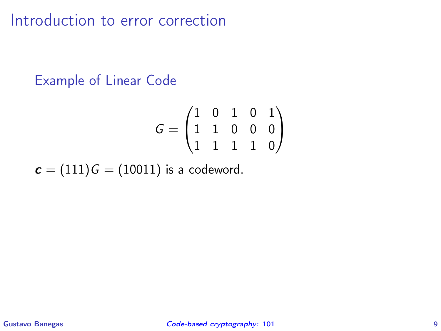#### Example of Linear Code

$$
G = \begin{pmatrix} 1 & 0 & 1 & 0 & 1 \\ 1 & 1 & 0 & 0 & 0 \\ 1 & 1 & 1 & 1 & 0 \end{pmatrix}
$$

 $c = (111)G = (10011)$  is a codeword.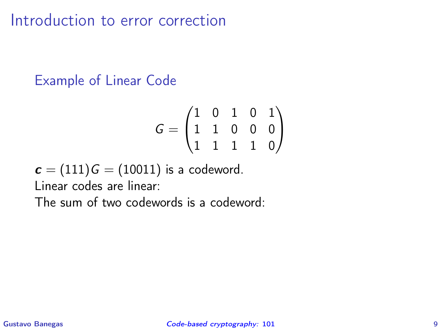## Example of Linear Code

$$
G = \begin{pmatrix} 1 & 0 & 1 & 0 & 1 \\ 1 & 1 & 0 & 0 & 0 \\ 1 & 1 & 1 & 1 & 0 \end{pmatrix}
$$

 $c = (111)G = (10011)$  is a codeword.

Linear codes are linear:

The sum of two codewords is a codeword: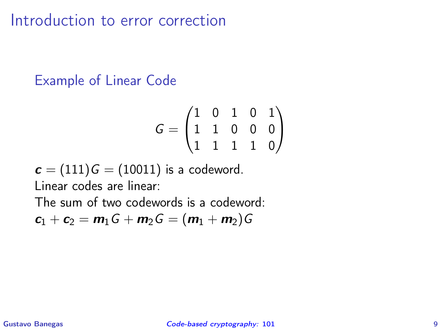#### Example of Linear Code

$$
G = \begin{pmatrix} 1 & 0 & 1 & 0 & 1 \\ 1 & 1 & 0 & 0 & 0 \\ 1 & 1 & 1 & 1 & 0 \end{pmatrix}
$$

 $c = (111)G = (10011)$  is a codeword. Linear codes are linear:

The sum of two codewords is a codeword:

$$
\boldsymbol{c}_1+\boldsymbol{c}_2=\boldsymbol{m}_1\boldsymbol{G}+\boldsymbol{m}_2\boldsymbol{G}=(\boldsymbol{m}_1+\boldsymbol{m}_2)\boldsymbol{G}
$$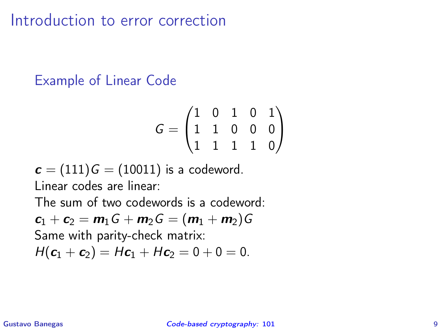## Example of Linear Code

$$
G = \begin{pmatrix} 1 & 0 & 1 & 0 & 1 \\ 1 & 1 & 0 & 0 & 0 \\ 1 & 1 & 1 & 1 & 0 \end{pmatrix}
$$

 $c = (111)G = (10011)$  is a codeword. Linear codes are linear:

The sum of two codewords is a codeword:

 $c_1 + c_2 = m_1G + m_2G = (m_1 + m_2)G$ Same with parity-check matrix:

$$
H(c_1+c_2)=Hc_1+Hc_2=0+0=0.
$$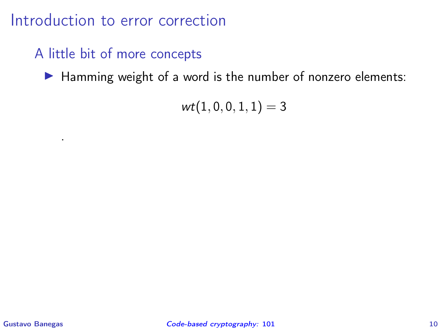## A little bit of more concepts

▶ Hamming weight of a word is the number of nonzero elements:

 $wt(1, 0, 0, 1, 1) = 3$ 

.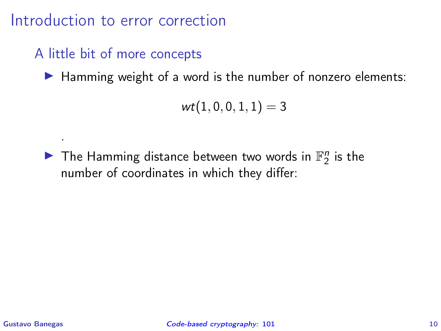## A little bit of more concepts

▶ Hamming weight of a word is the number of nonzero elements:

 $wt(1, 0, 0, 1, 1) = 3$ 

 $\blacktriangleright$  The Hamming distance between two words in  $\mathbb{F}_2^n$  is the number of coordinates in which they differ:

.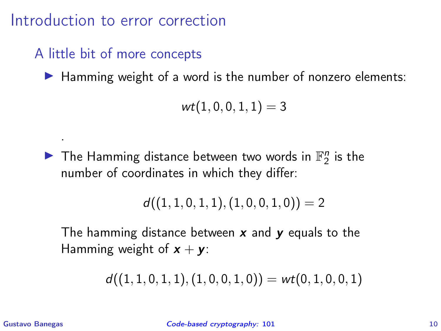## A little bit of more concepts

▶ Hamming weight of a word is the number of nonzero elements:

 $wt(1, 0, 0, 1, 1) = 3$ 

 $\blacktriangleright$  The Hamming distance between two words in  $\mathbb{F}_2^n$  is the number of coordinates in which they differ:

$$
d\big((1,1,0,1,1),(1,0,0,1,0)\big)=2
$$

The hamming distance between  $x$  and  $y$  equals to the Hamming weight of  $x + y$ :

$$
d\big((1,1,0,1,1),(1,0,0,1,0)\big)=\mathit{wt}(0,1,0,0,1)
$$

.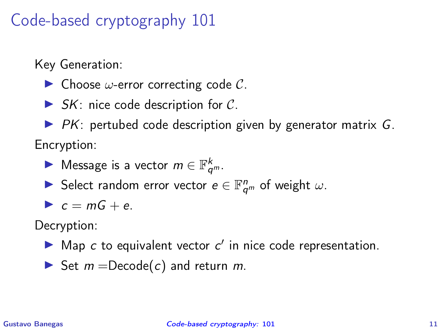Key Generation:

- $\triangleright$  Choose  $\omega$ -error correcting code C.
- $\triangleright$  SK: nice code description for C.
- $\triangleright$  PK: pertubed code description given by generator matrix G. Encryption:
	- ▶ Message is a vector  $m \in \mathbb{F}_{q^m}^k$ .
	- ► Select random error vector  $e \in \mathbb{F}_{q^m}^n$  of weight  $\omega$ .

$$
c = mG + e.
$$

Decryption:

- $\blacktriangleright$  Map c to equivalent vector c' in nice code representation.
- ▶ Set  $m = \text{Decode}(c)$  and return  $m$ .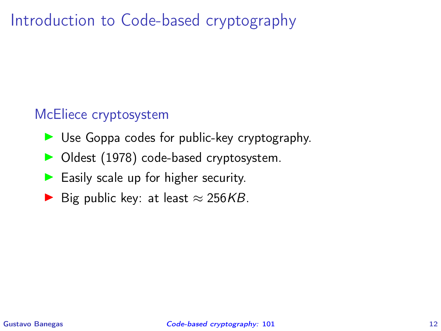# Introduction to Code-based cryptography

#### McEliece cryptosystem

- ▶ Use Goppa codes for public-key cryptography.
- ▶ Oldest (1978) code-based cryptosystem.
- ▶ Easily scale up for higher security.
- ▶ Big public key: at least  $\approx$  256KB.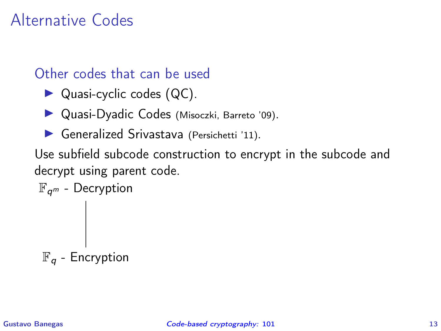# Alternative Codes

#### Other codes that can be used

- ▶ Quasi-cyclic codes (QC).
- ▶ Quasi-Dyadic Codes (Misoczki, Barreto '09).
- ▶ Generalized Srivastava (Persichetti '11).

Use subfield subcode construction to encrypt in the subcode and decrypt using parent code.

$$
\mathbb{F}_{q^m} - \text{Decryption}
$$
\n
$$
\begin{array}{c}\n\text{ }\bigg| \\\\ \text{ }\mathbb{F}_q - \text{Encryption}\n\end{array}
$$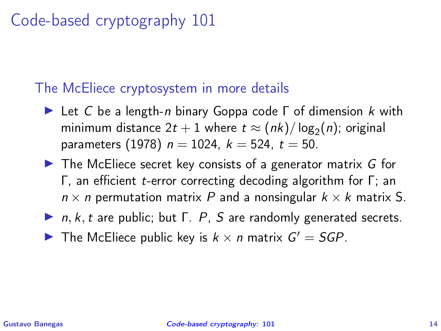## The McEliece cryptosystem in more details

- $\blacktriangleright$  Let C be a length-*n* binary Goppa code  $\Gamma$  of dimension k with minimum distance  $2t+1$  where  $t \approx (nk)/\log_2(n)$ ; original parameters (1978)  $n = 1024$ ,  $k = 524$ ,  $t = 50$ .
- $\triangleright$  The McEliece secret key consists of a generator matrix G for Γ, an efficient t-error correcting decoding algorithm for Γ; an  $n \times n$  permutation matrix P and a nonsingular  $k \times k$  matrix S.
- $\blacktriangleright$  n, k, t are public; but  $\Gamma$ . P, S are randomly generated secrets.
- The McEliece public key is  $k \times n$  matrix  $G' = SGP$ .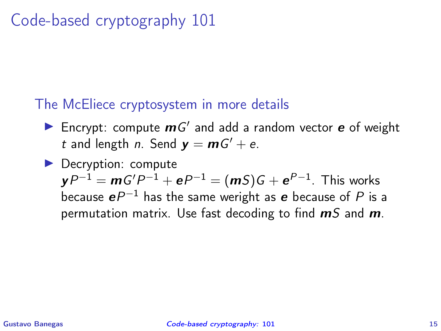## The McEliece cryptosystem in more details

- Encrypt: compute  $mG'$  and add a random vector  $e$  of weight t and length n. Send  $y = mG' + e$ .
- ▶ Decryption: compute  ${\bm y}P^{-1}={\bm m}G'P^{-1}+{\bm e}P^{-1}=({\bm m}S)G+{\bm e}^{P-1}.$  This works because  $\bm{e}P^{-1}$  has the same weright as  $\bm{e}$  because of  $P$  is a permutation matrix. Use fast decoding to find  $mS$  and  $m$ .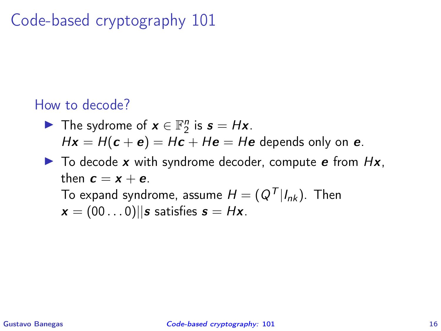## How to decode?

- ▶ The sydrome of  $x \in \mathbb{F}_2^n$  is  $s = Hx$ .  $Hx = H(c + e) = Hc + He = He$  depends only on e.
- $\triangleright$  To decode x with syndrome decoder, compute e from Hx, then  $\mathbf{c} = \mathbf{x} + \mathbf{e}$ .

To expand syndrome, assume  $H = (Q^T | I_{nk})$ . Then  $x = (00 \dots 0) \mid |s \text{ satisfies } s = Hx.$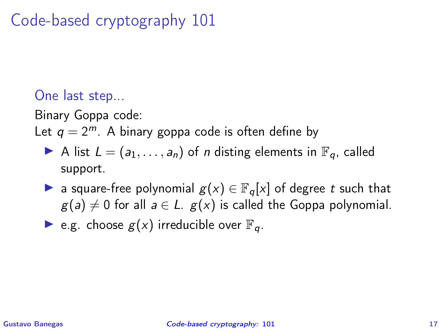## One last step...

Binary Goppa code:

Let  $q = 2^m$ . A binary goppa code is often define by

- A list  $L = (a_1, \ldots, a_n)$  of *n* disting elements in  $\mathbb{F}_q$ , called support.
- ▶ a square-free polynomial  $g(x) \in \mathbb{F}_q[x]$  of degree t such that  $g(a) \neq 0$  for all  $a \in L$ .  $g(x)$  is called the Goppa polynomial.

 $\blacktriangleright$  e.g. choose  $g(x)$  irreducible over  $\mathbb{F}_q$ .